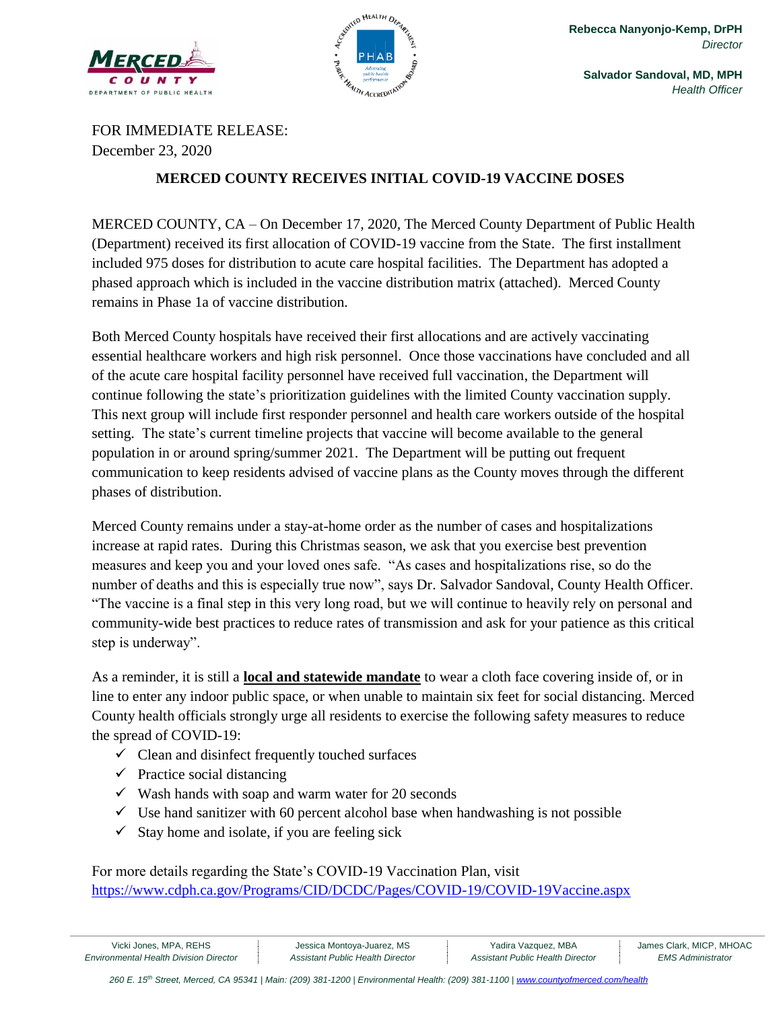



**Salvador Sandoval, MD, MPH** *Health Officer*

FOR IMMEDIATE RELEASE: December 23, 2020

## **MERCED COUNTY RECEIVES INITIAL COVID-19 VACCINE DOSES**

MERCED COUNTY, CA – On December 17, 2020, The Merced County Department of Public Health (Department) received its first allocation of COVID-19 vaccine from the State. The first installment included 975 doses for distribution to acute care hospital facilities. The Department has adopted a phased approach which is included in the vaccine distribution matrix (attached). Merced County remains in Phase 1a of vaccine distribution.

Both Merced County hospitals have received their first allocations and are actively vaccinating essential healthcare workers and high risk personnel. Once those vaccinations have concluded and all of the acute care hospital facility personnel have received full vaccination, the Department will continue following the state's prioritization guidelines with the limited County vaccination supply. This next group will include first responder personnel and health care workers outside of the hospital setting. The state's current timeline projects that vaccine will become available to the general population in or around spring/summer 2021. The Department will be putting out frequent communication to keep residents advised of vaccine plans as the County moves through the different phases of distribution.

Merced County remains under a stay-at-home order as the number of cases and hospitalizations increase at rapid rates. During this Christmas season, we ask that you exercise best prevention measures and keep you and your loved ones safe. "As cases and hospitalizations rise, so do the number of deaths and this is especially true now", says Dr. Salvador Sandoval, County Health Officer. "The vaccine is a final step in this very long road, but we will continue to heavily rely on personal and community-wide best practices to reduce rates of transmission and ask for your patience as this critical step is underway".

As a reminder, it is still a **local and statewide mandate** to wear a cloth face covering inside of, or in line to enter any indoor public space, or when unable to maintain six feet for social distancing. Merced County health officials strongly urge all residents to exercise the following safety measures to reduce the spread of COVID-19:

- $\checkmark$  Clean and disinfect frequently touched surfaces
- $\checkmark$  Practice social distancing
- $\checkmark$  Wash hands with soap and warm water for 20 seconds
- $\checkmark$  Use hand sanitizer with 60 percent alcohol base when handwashing is not possible
- $\checkmark$  Stay home and isolate, if you are feeling sick

For more details regarding the State's COVID-19 Vaccination Plan, visit <https://www.cdph.ca.gov/Programs/CID/DCDC/Pages/COVID-19/COVID-19Vaccine.aspx>

Vicki Jones, MPA, REHS **Jessica Montoya-Juarez, MS** James Clark, MICP, MHOAC James Clark, MICP, MHOAC *Environmental Health Division Director Assistant Public Health Director Assistant Public Health Director EMS Administrator*